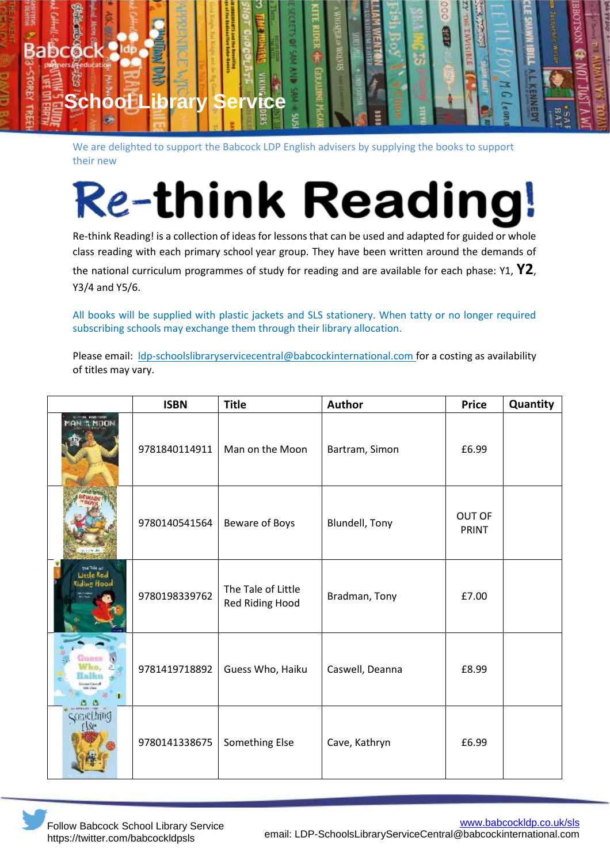

We are delighted to support the Babcock LDP English advisers by supplying the books to support their new

## **Re-think Reading**

Re-think Reading! is a collection of ideas for lessons that can be used and adapted for guided or whole class reading with each primary school year group. They have been written around the demands of the national curriculum programmes of study for reading and are available for each phase: Y1, **Y2**, Y3/4 and Y5/6.

All books will be supplied with plastic jackets and SLS stationery. When tatty or no longer required subscribing schools may exchange them through their library allocation.

Please email: Idp-schoolslibraryservicecentral@babcockinternational.com for a costing as availability of titles may vary.

|                                                  | <b>ISBN</b>   | <b>Title</b>                          | Author          | <b>Price</b>           | Quantity |
|--------------------------------------------------|---------------|---------------------------------------|-----------------|------------------------|----------|
|                                                  | 9781840114911 | Man on the Moon                       | Bartram, Simon  | £6.99                  |          |
|                                                  | 9780140541564 | Beware of Boys                        | Blundell, Tony  | OUT OF<br><b>PRINT</b> |          |
| The Take of<br>Little Real<br><b>Riding Hood</b> | 9780198339762 | The Tale of Little<br>Red Riding Hood | Bradman, Tony   | £7.00                  |          |
|                                                  | 9781419718892 | Guess Who, Haiku                      | Caswell, Deanna | £8.99                  |          |
| concilmo                                         | 9780141338675 | Something Else                        | Cave, Kathryn   | £6.99                  |          |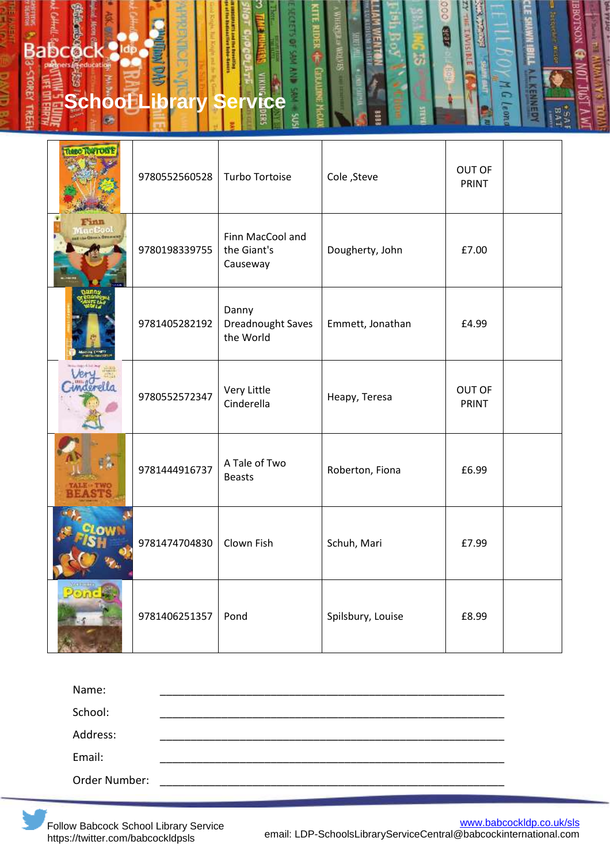## **Babcock 3km Service**<br> **Service Contrary Service** 3

| THRO TOWTOW! | 9780552560528 | <b>Turbo Tortoise</b>                       | Cole, Steve       | OUT OF<br>PRINT |  |
|--------------|---------------|---------------------------------------------|-------------------|-----------------|--|
|              | 9780198339755 | Finn MacCool and<br>the Giant's<br>Causeway | Dougherty, John   | £7.00           |  |
|              | 9781405282192 | Danny<br>Dreadnought Saves<br>the World     | Emmett, Jonathan  | £4.99           |  |
|              | 9780552572347 | Very Little<br>Cinderella                   | Heapy, Teresa     | OUT OF<br>PRINT |  |
|              | 9781444916737 | A Tale of Two<br><b>Beasts</b>              | Roberton, Fiona   | £6.99           |  |
|              | 9781474704830 | Clown Fish                                  | Schuh, Mari       | £7.99           |  |
|              | 9781406251357 | Pond                                        | Spilsbury, Louise | £8.99           |  |

é

| Name:         |  |  |
|---------------|--|--|
| School:       |  |  |
| Address:      |  |  |
| Email:        |  |  |
| Order Number: |  |  |



**CONTROL** 

KENNED

亩 Ù,

 $\mathbf{C}$ **Leon**